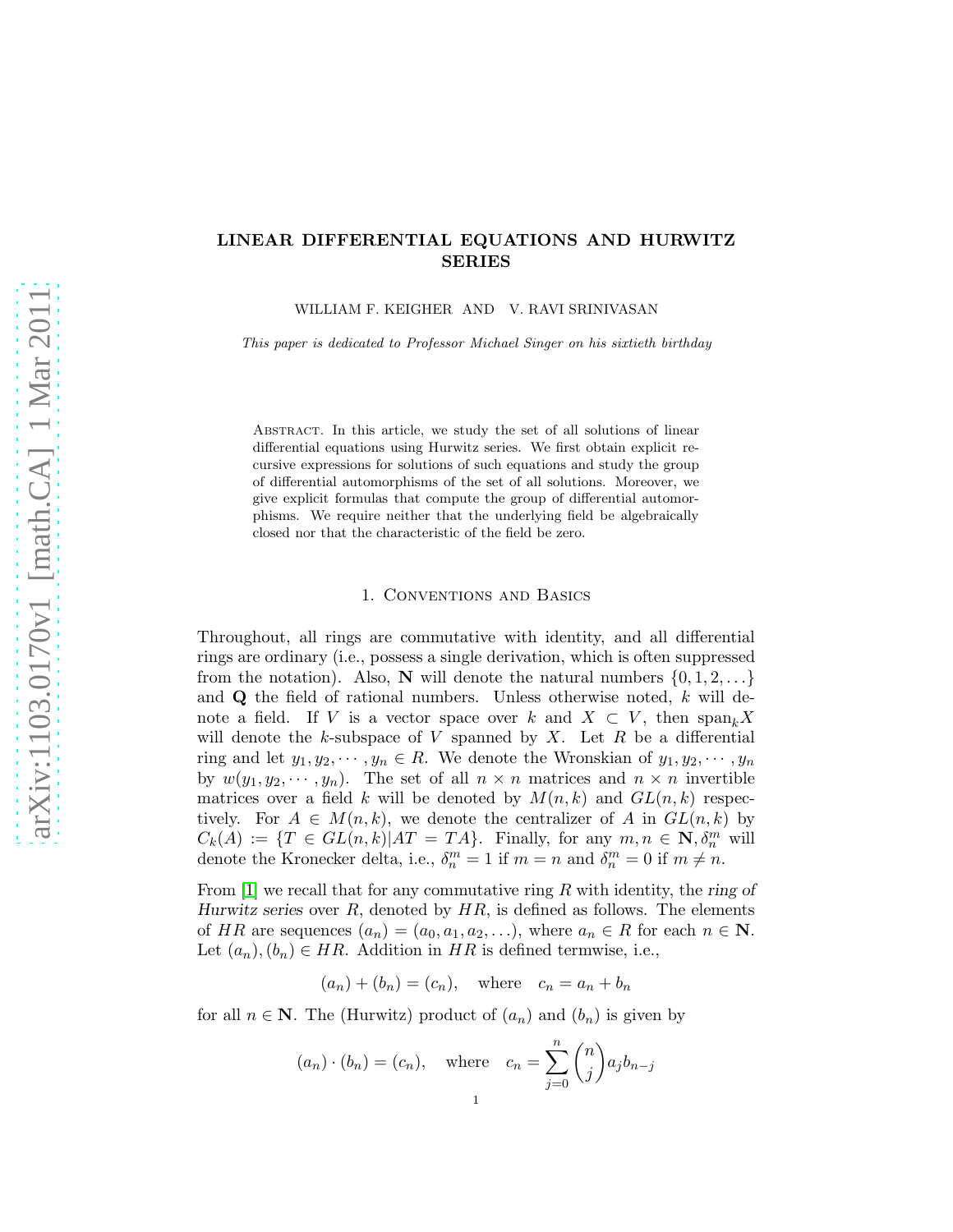# LINEAR DIFFERENTIAL EQUATIONS AND HURWITZ SERIES

WILLIAM F. KEIGHER AND V. RAVI SRINIVASAN

This paper is dedicated to Professor Michael Singer on his sixtieth birthday

Abstract. In this article, we study the set of all solutions of linear differential equations using Hurwitz series. We first obtain explicit recursive expressions for solutions of such equations and study the group of differential automorphisms of the set of all solutions. Moreover, we give explicit formulas that compute the group of differential automorphisms. We require neither that the underlying field be algebraically closed nor that the characteristic of the field be zero.

## 1. Conventions and Basics

Throughout, all rings are commutative with identity, and all differential rings are ordinary (i.e., possess a single derivation, which is often suppressed from the notation). Also, N will denote the natural numbers  $\{0, 1, 2, \ldots\}$ and  $\bf{Q}$  the field of rational numbers. Unless otherwise noted, k will denote a field. If V is a vector space over k and  $X \subset V$ , then  $\text{span}_k X$ will denote the  $k$ -subspace of  $V$  spanned by  $X$ . Let  $R$  be a differential ring and let  $y_1, y_2, \dots, y_n \in R$ . We denote the Wronskian of  $y_1, y_2, \dots, y_n$ by  $w(y_1, y_2, \dots, y_n)$ . The set of all  $n \times n$  matrices and  $n \times n$  invertible matrices over a field k will be denoted by  $M(n, k)$  and  $GL(n, k)$  respectively. For  $A \in M(n,k)$ , we denote the centralizer of A in  $GL(n,k)$  by  $C_k(A) := \{T \in GL(n,k) | AT = TA\}.$  Finally, for any  $m, n \in \mathbb{N}, \delta_n^m$  will denote the Kronecker delta, i.e.,  $\delta_n^m = 1$  if  $m = n$  and  $\delta_n^m = 0$  if  $m \neq n$ .

From  $[1]$  we recall that for any commutative ring R with identity, the ring of Hurwitz series over  $R$ , denoted by  $HR$ , is defined as follows. The elements of HR are sequences  $(a_n) = (a_0, a_1, a_2, \ldots)$ , where  $a_n \in R$  for each  $n \in \mathbb{N}$ . Let  $(a_n), (b_n) \in HR$ . Addition in HR is defined termwise, i.e.,

$$
(a_n) + (b_n) = (c_n), \quad \text{where} \quad c_n = a_n + b_n
$$

for all  $n \in \mathbb{N}$ . The (Hurwitz) product of  $(a_n)$  and  $(b_n)$  is given by

$$
(a_n) \cdot (b_n) = (c_n),
$$
 where  $c_n = \sum_{j=0}^n \binom{n}{j} a_j b_{n-j}$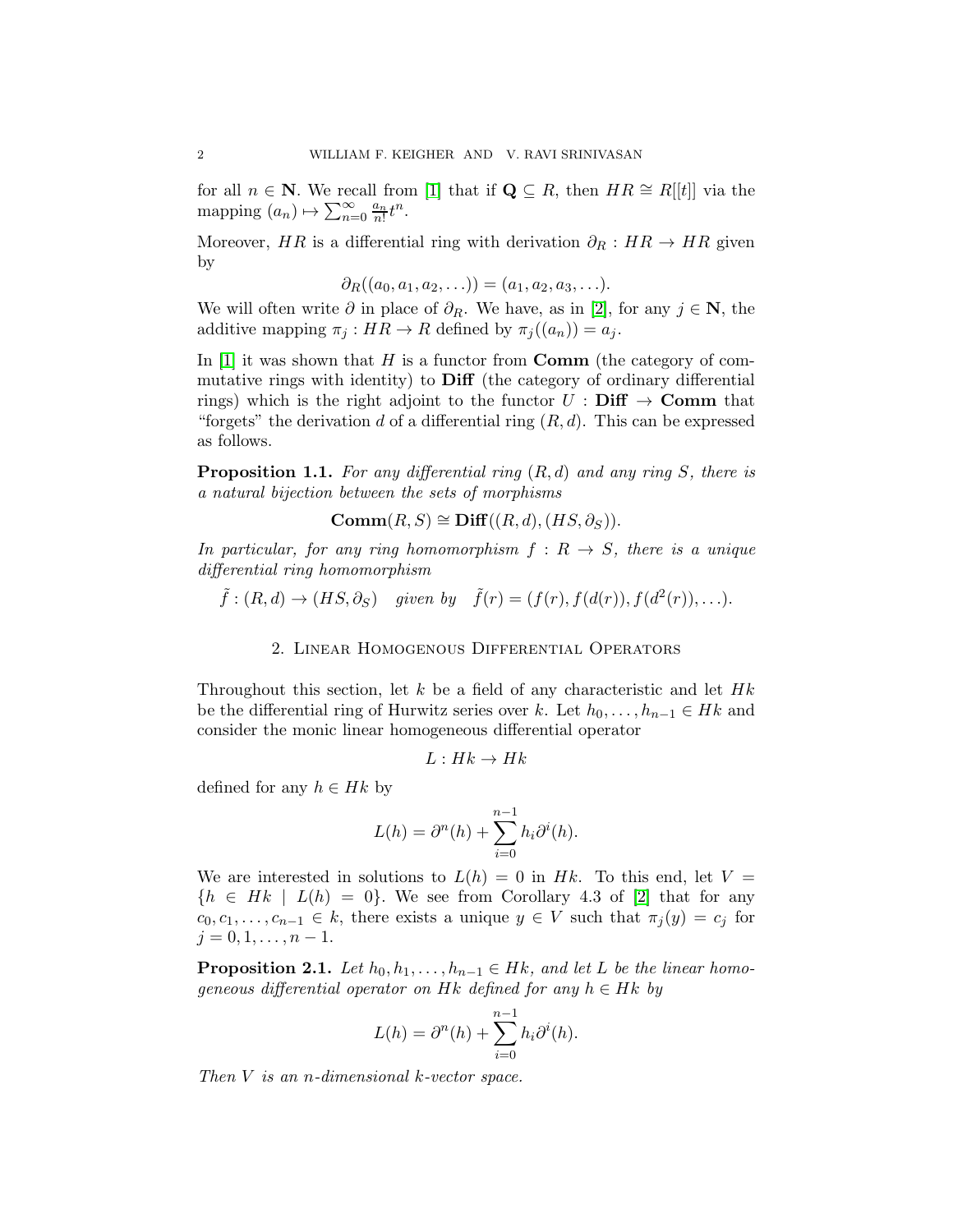for all  $n \in \mathbb{N}$ . We recall from [\[1\]](#page-10-0) that if  $\mathbf{Q} \subseteq R$ , then  $HR \cong R[[t]]$  via the mapping  $(a_n) \mapsto \sum_{n=0}^{\infty} \frac{a_n}{n!}$  $\frac{a_n}{n!}t^n$ .

Moreover, HR is a differential ring with derivation  $\partial_R : HR \to HR$  given by

$$
\partial_R((a_0,a_1,a_2,\ldots))=(a_1,a_2,a_3,\ldots).
$$

We will often write  $\partial$  in place of  $\partial_R$ . We have, as in [\[2\]](#page-10-1), for any  $j \in \mathbb{N}$ , the additive mapping  $\pi_j : HR \to R$  defined by  $\pi_j((a_n)) = a_j$ .

In  $[1]$  it was shown that H is a functor from **Comm** (the category of commutative rings with identity) to Diff (the category of ordinary differential rings) which is the right adjoint to the functor  $U : Diff \rightarrow \text{Comm that}$ "forgets" the derivation d of a differential ring  $(R, d)$ . This can be expressed as follows.

**Proposition 1.1.** For any differential ring  $(R, d)$  and any ring S, there is a natural bijection between the sets of morphisms

$$
Comm(R, S) \cong Diff((R, d), (HS, \partial_S)).
$$

In particular, for any ring homomorphism  $f: R \rightarrow S$ , there is a unique differential ring homomorphism

$$
\tilde{f}:(R,d)\to (HS,\partial_S)
$$
 given by  $\tilde{f}(r)=(f(r),f(d(r)),f(d^2(r)),\ldots).$ 

## 2. Linear Homogenous Differential Operators

Throughout this section, let k be a field of any characteristic and let  $Hk$ be the differential ring of Hurwitz series over k. Let  $h_0, \ldots, h_{n-1} \in Hk$  and consider the monic linear homogeneous differential operator

$$
L: Hk \to Hk
$$

defined for any  $h \in Hk$  by

$$
L(h) = \partial^{n}(h) + \sum_{i=0}^{n-1} h_i \partial^{i}(h).
$$

We are interested in solutions to  $L(h) = 0$  in Hk. To this end, let  $V =$  ${h \in Hk \mid L(h) = 0}$ . We see from Corollary 4.3 of [\[2\]](#page-10-1) that for any  $c_0, c_1, \ldots, c_{n-1} \in k$ , there exists a unique  $y \in V$  such that  $\pi_i(y) = c_i$  for  $j = 0, 1, \ldots, n - 1.$ 

<span id="page-1-0"></span>**Proposition 2.1.** Let  $h_0, h_1, \ldots, h_{n-1} \in Hk$ , and let L be the linear homogeneous differential operator on Hk defined for any  $h \in Hk$  by

$$
L(h) = \partial^{n}(h) + \sum_{i=0}^{n-1} h_i \partial^{i}(h).
$$

Then  $V$  is an n-dimensional  $k$ -vector space.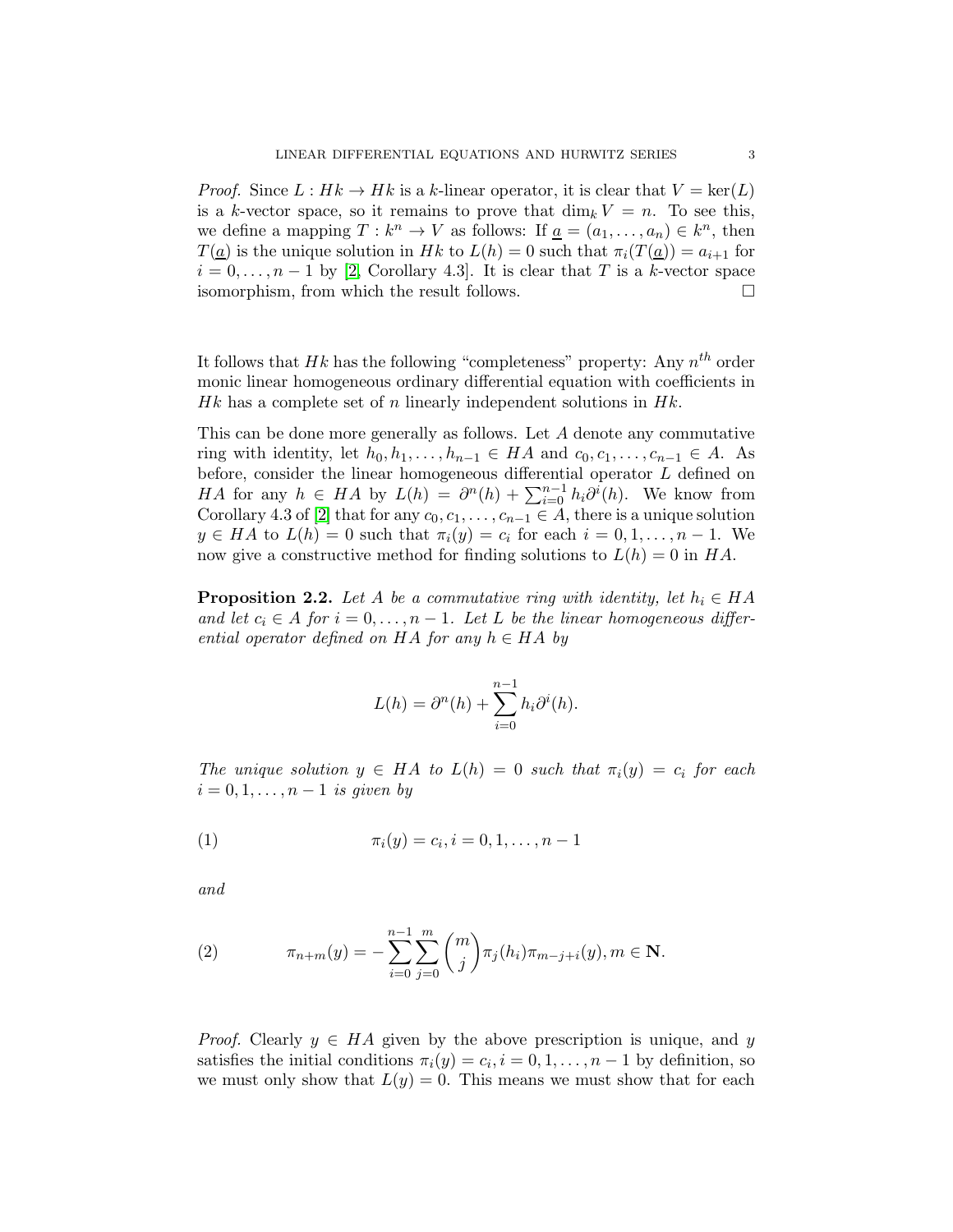*Proof.* Since  $L : Hk \to Hk$  is a k-linear operator, it is clear that  $V = \text{ker}(L)$ is a k-vector space, so it remains to prove that  $\dim_k V = n$ . To see this, we define a mapping  $T: k^n \to V$  as follows: If  $\underline{a} = (a_1, \ldots, a_n) \in k^n$ , then  $T(a)$  is the unique solution in Hk to  $L(h) = 0$  such that  $\pi_i(T(a)) = a_{i+1}$  for  $i = 0, \ldots, n-1$  by [\[2,](#page-10-1) Corollary 4.3]. It is clear that T is a k-vector space isomorphism, from which the result follows.

It follows that  $Hk$  has the following "completeness" property: Any  $n^{th}$  order monic linear homogeneous ordinary differential equation with coefficients in Hk has a complete set of n linearly independent solutions in  $Hk$ .

This can be done more generally as follows. Let A denote any commutative ring with identity, let  $h_0, h_1, \ldots, h_{n-1} \in HA$  and  $c_0, c_1, \ldots, c_{n-1} \in A$ . As before, consider the linear homogeneous differential operator L defined on HA for any  $h \in HA$  by  $L(h) = \partial^n(h) + \sum_{i=0}^{n-1} h_i \partial^i(h)$ . We know from Corollary 4.3 of [\[2\]](#page-10-1) that for any  $c_0, c_1, \ldots, c_{n-1} \in A$ , there is a unique solution  $y \in HA$  to  $L(h) = 0$  such that  $\pi_i(y) = c_i$  for each  $i = 0, 1, \ldots, n - 1$ . We now give a constructive method for finding solutions to  $L(h) = 0$  in HA.

**Proposition 2.2.** Let A be a commutative ring with identity, let  $h_i \in HA$ and let  $c_i \in A$  for  $i = 0, \ldots, n - 1$ . Let L be the linear homogeneous differential operator defined on HA for any  $h \in HA$  by

$$
L(h) = \partial^{n}(h) + \sum_{i=0}^{n-1} h_i \partial^{i}(h).
$$

The unique solution  $y \in HA$  to  $L(h) = 0$  such that  $\pi_i(y) = c_i$  for each  $i = 0, 1, \ldots, n-1$  is given by

(1) 
$$
\pi_i(y) = c_i, i = 0, 1, \dots, n-1
$$

and

(2) 
$$
\pi_{n+m}(y) = -\sum_{i=0}^{n-1} \sum_{j=0}^{m} {m \choose j} \pi_j(h_i) \pi_{m-j+i}(y), m \in \mathbf{N}.
$$

*Proof.* Clearly  $y \in HA$  given by the above prescription is unique, and y satisfies the initial conditions  $\pi_i(y) = c_i, i = 0, 1, \dots, n-1$  by definition, so we must only show that  $L(y) = 0$ . This means we must show that for each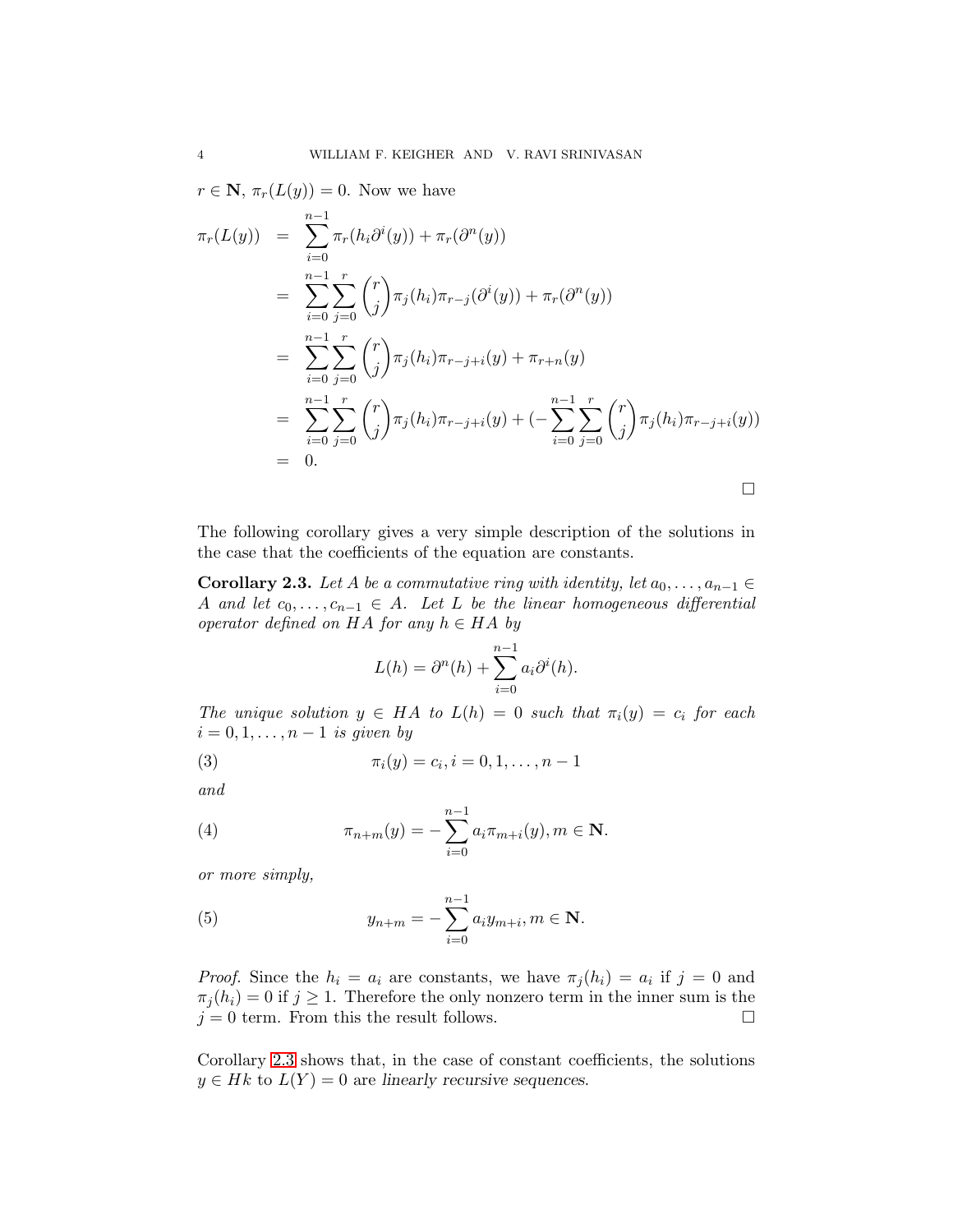$r \in \mathbf{N}, \pi_r(L(y)) = 0.$  Now we have  $\pi_r(L(y)) =$  $\sum^{n-1}$  $i=0$  $\pi_r(h_i\partial^i(y)) + \pi_r(\partial^n(y))$ =  $\sum^{n-1}$  $i=0$  $\sum_{r}$  $j=0$  $\int$ j  $\int \pi_j(h_i) \pi_{r-j}(\partial^i(y)) + \pi_r(\partial^n(y))$ =  $\sum^{n-1}$  $i=0$  $\sum_{r}$  $j=0$  $\int$ j  $\bigg\}\pi_j(h_i)\pi_{r-j+i}(y)+\pi_{r+n}(y)$ =  $\sum_{ }^{n-1}$  $i=0$  $\sum_{r}$  $j=0$  $\int$ j  $\Big(\pi_j(h_i)\pi_{r-j+i}(y) + (-1)^{n-j}$  $\sum^{n-1}$  $i=0$  $\sum_{r}$  $j=0$  $\int$ j  $\bigg(\pi_j(h_i)\pi_{r-j+i}(y))$  $= 0.$ 

The following corollary gives a very simple description of the solutions in the case that the coefficients of the equation are constants.

 $\Box$ 

<span id="page-3-0"></span>**Corollary 2.3.** Let A be a commutative ring with identity, let  $a_0, \ldots, a_{n-1} \in$ A and let  $c_0, \ldots, c_{n-1} \in A$ . Let L be the linear homogeneous differential operator defined on HA for any  $h \in HA$  by

$$
L(h) = \partial^{n}(h) + \sum_{i=0}^{n-1} a_i \partial^{i}(h).
$$

The unique solution  $y \in HA$  to  $L(h) = 0$  such that  $\pi_i(y) = c_i$  for each  $i = 0, 1, \ldots, n-1$  is given by

(3) 
$$
\pi_i(y) = c_i, i = 0, 1, \dots, n-1
$$

and

(4) 
$$
\pi_{n+m}(y) = -\sum_{i=0}^{n-1} a_i \pi_{m+i}(y), m \in \mathbf{N}.
$$

or more simply,

(5) 
$$
y_{n+m} = -\sum_{i=0}^{n-1} a_i y_{m+i}, m \in \mathbf{N}.
$$

*Proof.* Since the  $h_i = a_i$  are constants, we have  $\pi_j(h_i) = a_i$  if  $j = 0$  and  $\pi_j(h_i) = 0$  if  $j \geq 1$ . Therefore the only nonzero term in the inner sum is the  $j = 0$  term. From this the result follows.

Corollary [2.3](#page-3-0) shows that, in the case of constant coefficients, the solutions  $y \in Hk$  to  $L(Y) = 0$  are linearly recursive sequences.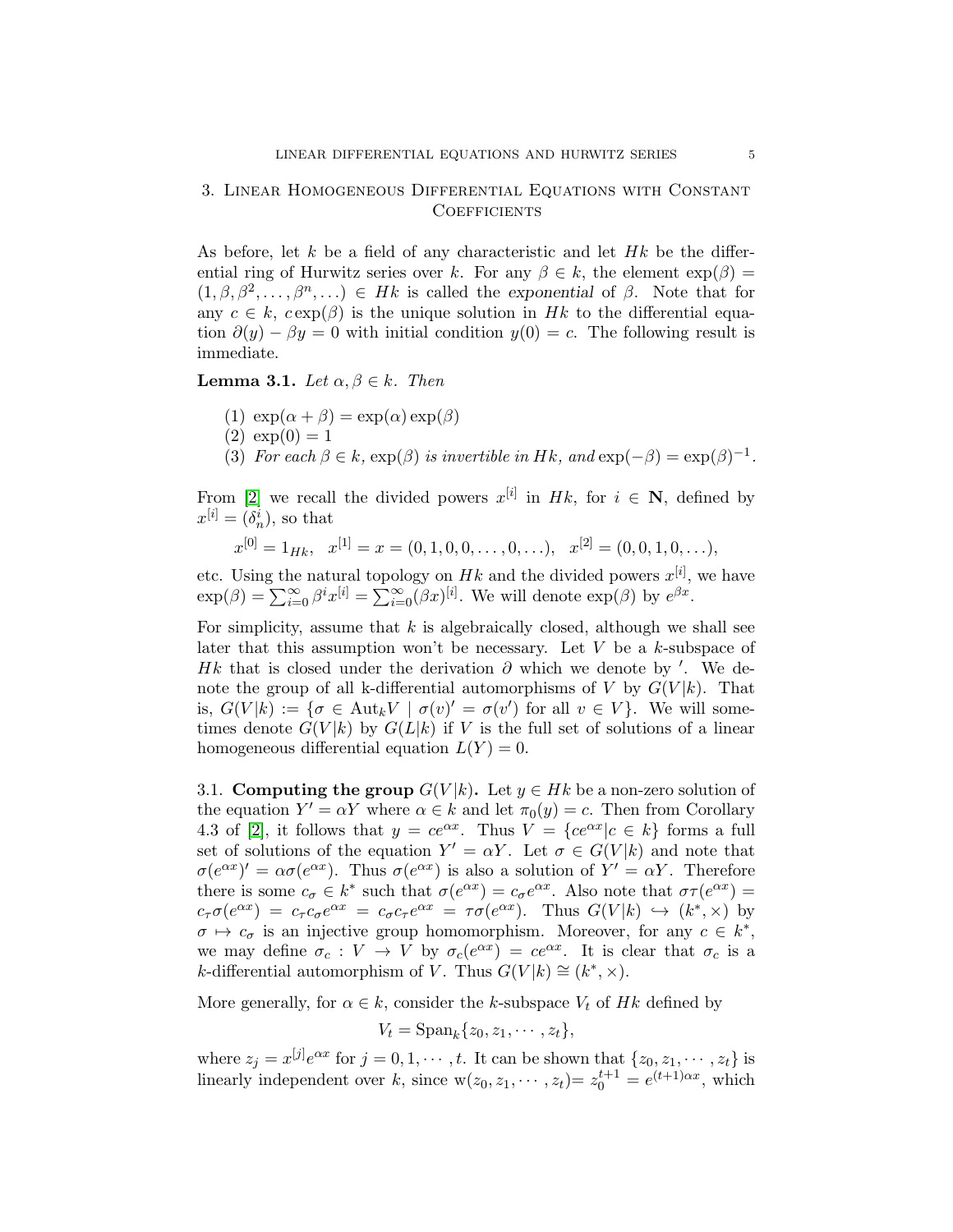## 3. Linear Homogeneous Differential Equations with Constant **COEFFICIENTS**

As before, let k be a field of any characteristic and let  $Hk$  be the differential ring of Hurwitz series over k. For any  $\beta \in k$ , the element  $\exp(\beta) =$  $(1, \beta, \beta^2, \ldots, \beta^n, \ldots) \in Hk$  is called the exponential of  $\beta$ . Note that for any  $c \in k$ ,  $c \exp(\beta)$  is the unique solution in Hk to the differential equation  $\partial(y) - \beta y = 0$  with initial condition  $y(0) = c$ . The following result is immediate.

**Lemma 3.1.** Let  $\alpha, \beta \in k$ . Then

(1)  $\exp(\alpha + \beta) = \exp(\alpha) \exp(\beta)$  $(2) \exp(0) = 1$ (3) For each  $\beta \in k$ ,  $\exp(\beta)$  is invertible in Hk, and  $\exp(-\beta) = \exp(\beta)^{-1}$ .

From [\[2\]](#page-10-1) we recall the divided powers  $x^{[i]}$  in Hk, for  $i \in \mathbb{N}$ , defined by  $x^{[i]} = (\delta_n^i)$ , so that

$$
x^{[0]} = 1_{Hk}, \quad x^{[1]} = x = (0, 1, 0, 0, \dots, 0, \dots), \quad x^{[2]} = (0, 0, 1, 0, \dots),
$$

etc. Using the natural topology on  $Hk$  and the divided powers  $x^{[i]}$ , we have  $\exp(\beta) = \sum_{i=0}^{\infty} \beta^i x^{[i]} = \sum_{i=0}^{\infty} (\beta x)^{[i]}$ . We will denote  $\exp(\beta)$  by  $e^{\beta x}$ .

For simplicity, assume that  $k$  is algebraically closed, although we shall see later that this assumption won't be necessary. Let  $V$  be a  $k$ -subspace of Hk that is closed under the derivation  $\partial$  which we denote by '. We denote the group of all k-differential automorphisms of V by  $G(V|k)$ . That is,  $G(V|k) := \{ \sigma \in \text{Aut}_k V \mid \sigma(v)' = \sigma(v') \text{ for all } v \in V \}.$  We will sometimes denote  $G(V|k)$  by  $G(L|k)$  if V is the full set of solutions of a linear homogeneous differential equation  $L(Y) = 0$ .

3.1. Computing the group  $G(V|k)$ . Let  $y \in Hk$  be a non-zero solution of the equation  $Y' = \alpha Y$  where  $\alpha \in k$  and let  $\pi_0(y) = c$ . Then from Corollary 4.3 of [\[2\]](#page-10-1), it follows that  $y = ce^{\alpha x}$ . Thus  $V = \{ce^{\alpha x} | c \in k\}$  forms a full set of solutions of the equation  $Y' = \alpha Y$ . Let  $\sigma \in G(V|k)$  and note that  $\sigma(e^{\alpha x})' = \alpha \sigma(e^{\alpha x})$ . Thus  $\sigma(e^{\alpha x})$  is also a solution of  $Y' = \alpha Y$ . Therefore there is some  $c_{\sigma} \in k^*$  such that  $\sigma(e^{\alpha x}) = c_{\sigma}e^{\alpha x}$ . Also note that  $\sigma\tau(e^{\alpha x}) =$  $c_{\tau}\sigma(e^{\alpha x}) = c_{\tau}c_{\sigma}e^{\alpha x} = c_{\sigma}c_{\tau}e^{\alpha x} = \tau\sigma(e^{\alpha x})$ . Thus  $G(V|k) \hookrightarrow (k^*, \times)$  by  $\sigma \mapsto c_{\sigma}$  is an injective group homomorphism. Moreover, for any  $c \in k^*$ , we may define  $\sigma_c: V \to V$  by  $\sigma_c(e^{\alpha x}) = ce^{\alpha x}$ . It is clear that  $\sigma_c$  is a k-differential automorphism of V. Thus  $G(V|k) \cong (k^*, \times)$ .

More generally, for  $\alpha \in k$ , consider the k-subspace  $V_t$  of Hk defined by

$$
V_t = \mathrm{Span}_k\{z_0, z_1, \cdots, z_t\},\
$$

where  $z_j = x^{[j]}e^{\alpha x}$  for  $j = 0, 1, \dots, t$ . It can be shown that  $\{z_0, z_1, \dots, z_t\}$  is linearly independent over k, since  $w(z_0, z_1, \dots, z_t) = z_0^{t+1} = e^{(t+1)\alpha x}$ , which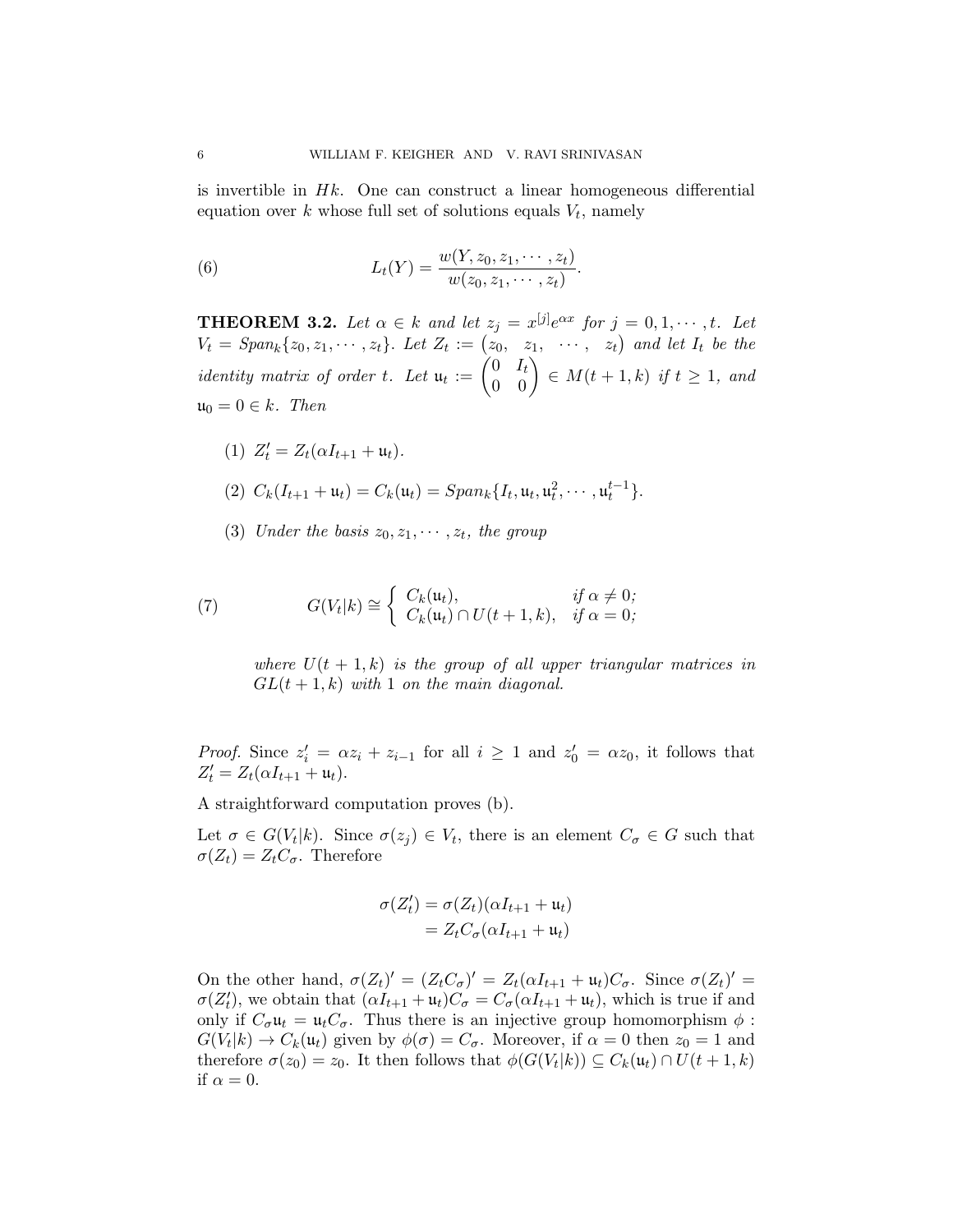is invertible in  $Hk$ . One can construct a linear homogeneous differential equation over  $k$  whose full set of solutions equals  $V_t$ , namely

(6) 
$$
L_t(Y) = \frac{w(Y, z_0, z_1, \cdots, z_t)}{w(z_0, z_1, \cdots, z_t)}.
$$

<span id="page-5-0"></span>**THEOREM 3.2.** Let  $\alpha \in k$  and let  $z_j = x^{[j]}e^{\alpha x}$  for  $j = 0, 1, \dots, t$ . Let  $V_t = Span_k\{z_0, z_1, \cdots, z_t\}.$  Let  $Z_t := (z_0, z_1, \cdots, z_t)$  and let  $I_t$  be the identity matrix of order t. Let  $\mathfrak{u}_t := \begin{pmatrix} 0 & I_t \ 0 & 0 \end{pmatrix} \in M(t+1,k)$  if  $t \geq 1$ , and  $\mathfrak{u}_0 = 0 \in k$ . Then

- (1)  $Z'_t = Z_t(\alpha I_{t+1} + \mathfrak{u}_t).$ (2)  $C_k(I_{t+1} + \mathfrak{u}_t) = C_k(\mathfrak{u}_t) = Span_k\{I_t, \mathfrak{u}_t, \mathfrak{u}_t^2, \cdots, \mathfrak{u}_t^{t-1}\}.$
- (3) Under the basis  $z_0, z_1, \cdots, z_t$ , the group

(7) 
$$
G(V_t|k) \cong \begin{cases} C_k(\mathfrak{u}_t), & \text{if } \alpha \neq 0; \\ C_k(\mathfrak{u}_t) \cap U(t+1,k), & \text{if } \alpha = 0; \end{cases}
$$

where  $U(t + 1, k)$  is the group of all upper triangular matrices in  $GL(t+1,k)$  with 1 on the main diagonal.

*Proof.* Since  $z'_i = \alpha z_i + z_{i-1}$  for all  $i \geq 1$  and  $z'_0 = \alpha z_0$ , it follows that  $Z'_t = Z_t(\alpha I_{t+1} + \mathfrak{u}_t).$ 

A straightforward computation proves (b).

Let  $\sigma \in G(V_t|k)$ . Since  $\sigma(z_j) \in V_t$ , there is an element  $C_{\sigma} \in G$  such that  $\sigma(Z_t) = Z_t C_{\sigma}$ . Therefore

$$
\sigma(Z'_t) = \sigma(Z_t)(\alpha I_{t+1} + \mathfrak{u}_t)
$$
  
= 
$$
Z_t C_{\sigma}(\alpha I_{t+1} + \mathfrak{u}_t)
$$

On the other hand,  $\sigma(Z_t)' = (Z_t C_{\sigma})' = Z_t (\alpha I_{t+1} + \mathfrak{u}_t) C_{\sigma}$ . Since  $\sigma(Z_t)' =$  $\sigma(Z'_t)$ ', we obtain that  $(\alpha I_{t+1} + \mathfrak{u}_t)C_{\sigma} = C_{\sigma}(\alpha I_{t+1} + \mathfrak{u}_t)$ , which is true if and only if  $C_{\sigma} \mathfrak{u}_t = \mathfrak{u}_t C_{\sigma}$ . Thus there is an injective group homomorphism  $\phi$ :  $G(V_t|k) \to C_k(\mathfrak{u}_t)$  given by  $\phi(\sigma) = C_{\sigma}$ . Moreover, if  $\alpha = 0$  then  $z_0 = 1$  and therefore  $\sigma(z_0) = z_0$ . It then follows that  $\phi(G(V_t|k)) \subseteq C_k(\mathfrak{u}_t) \cap U(t+1,k)$ if  $\alpha = 0$ .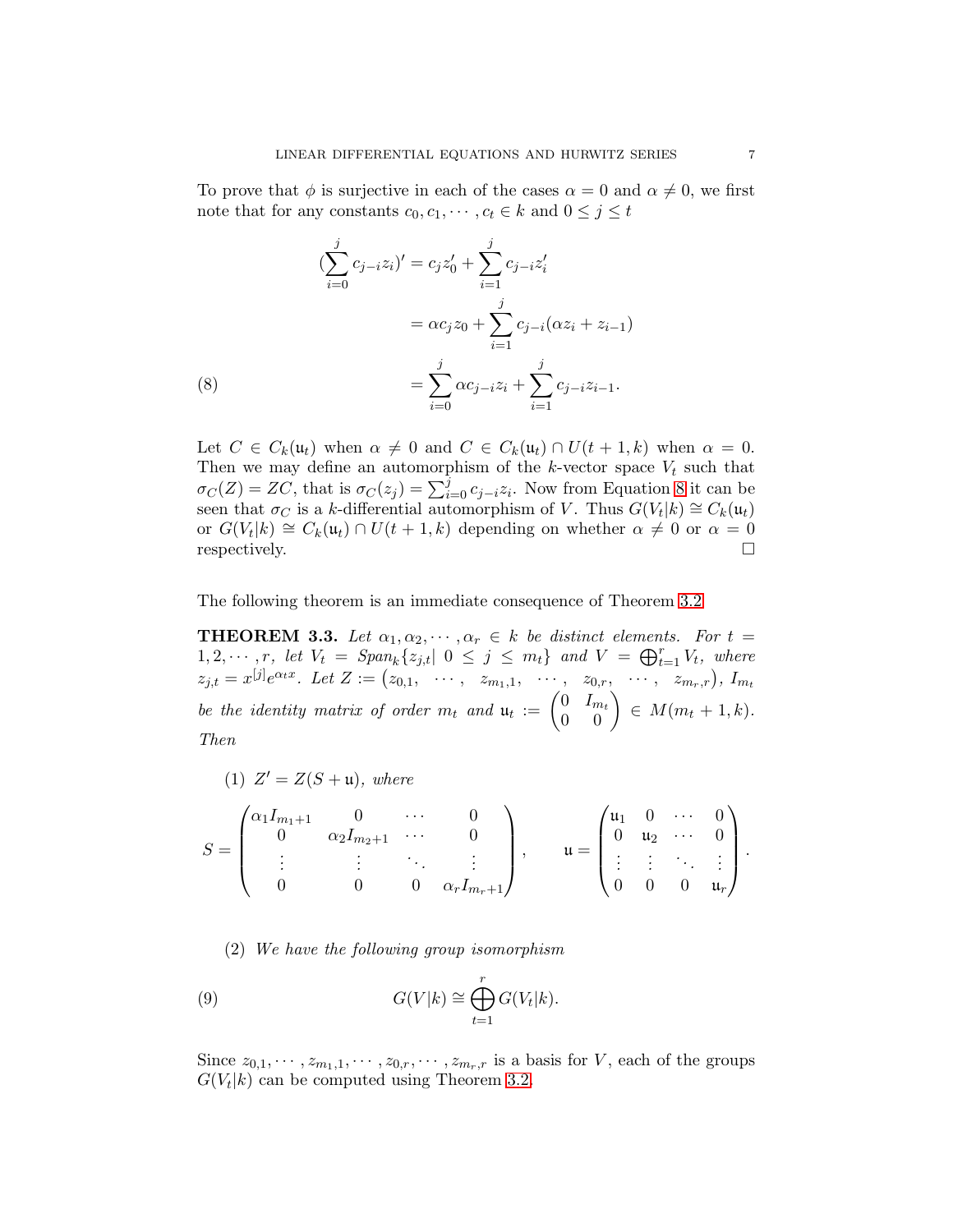To prove that  $\phi$  is surjective in each of the cases  $\alpha = 0$  and  $\alpha \neq 0$ , we first note that for any constants  $c_0, c_1, \dots, c_t \in k$  and  $0 \le j \le t$ 

(8)  
\n
$$
(\sum_{i=0}^{j} c_{j-i}z_i)' = c_j z'_0 + \sum_{i=1}^{j} c_{j-i} z'_i
$$
\n
$$
= \alpha c_j z_0 + \sum_{i=1}^{j} c_{j-i} (\alpha z_i + z_{i-1})
$$
\n
$$
= \sum_{i=0}^{j} \alpha c_{j-i} z_i + \sum_{i=1}^{j} c_{j-i} z_{i-1}.
$$

<span id="page-6-0"></span>Let  $C \in C_k(\mathfrak{u}_t)$  when  $\alpha \neq 0$  and  $C \in C_k(\mathfrak{u}_t) \cap U(t+1,k)$  when  $\alpha = 0$ . Then we may define an automorphism of the  $k$ -vector space  $V_t$  such that  $\sigma_C(Z) = Z\overline{C}$ , that is  $\sigma_C(z_j) = \sum_{i=0}^j c_{j-i} z_i$ . Now from Equation [8](#page-6-0) it can be seen that  $\sigma_C$  is a k-differential automorphism of V. Thus  $G(V_t|k) \cong C_k(\mathfrak{u}_t)$ or  $G(V_t|k) \cong C_k(\mathfrak{u}_t) \cap U(t+1,k)$  depending on whether  $\alpha \neq 0$  or  $\alpha = 0$ respectively.

The following theorem is an immediate consequence of Theorem [3.2](#page-5-0)

<span id="page-6-1"></span>**THEOREM 3.3.** Let  $\alpha_1, \alpha_2, \cdots, \alpha_r \in k$  be distinct elements. For  $t =$  $1, 2, \cdots, r$ , let  $V_t = \text{Span}_k\{z_{j,t} | 0 \leq j \leq m_t\}$  and  $V = \bigoplus_{t=1}^r V_t$ , where  $z_{j,t} = x^{[j]}e^{\alpha_t x}$ . Let  $Z := (z_{0,1}, \cdots, z_{m_1,1}, \cdots, z_{0,r}, \cdots, z_{m_r,r}), I_{m_t}$ be the identity matrix of order  $m_t$  and  $\mathfrak{u}_t := \begin{pmatrix} 0 & I_{m_t} \\ 0 & 0 \end{pmatrix} \in M(m_t + 1, k)$ . Then

(1) 
$$
Z' = Z(S + \mathfrak{u}), \text{ where}
$$

$$
S = \begin{pmatrix} \alpha_1 I_{m_1+1} & 0 & \cdots & 0 \\ 0 & \alpha_2 I_{m_2+1} & \cdots & 0 \\ \vdots & \vdots & \ddots & \vdots \\ 0 & 0 & 0 & \alpha_r I_{m_r+1} \end{pmatrix}, \quad u = \begin{pmatrix} u_1 & 0 & \cdots & 0 \\ 0 & u_2 & \cdots & 0 \\ \vdots & \vdots & \ddots & \vdots \\ 0 & 0 & 0 & u_r \end{pmatrix}.
$$

(2) We have the following group isomorphism

(9) 
$$
G(V|k) \cong \bigoplus_{t=1}^r G(V_t|k).
$$

Since  $z_{0,1}, \dots, z_{m_1,1}, \dots, z_{0,r}, \dots, z_{m_r,r}$  is a basis for V, each of the groups  $G(V_t|k)$  can be computed using Theorem [3.2.](#page-5-0)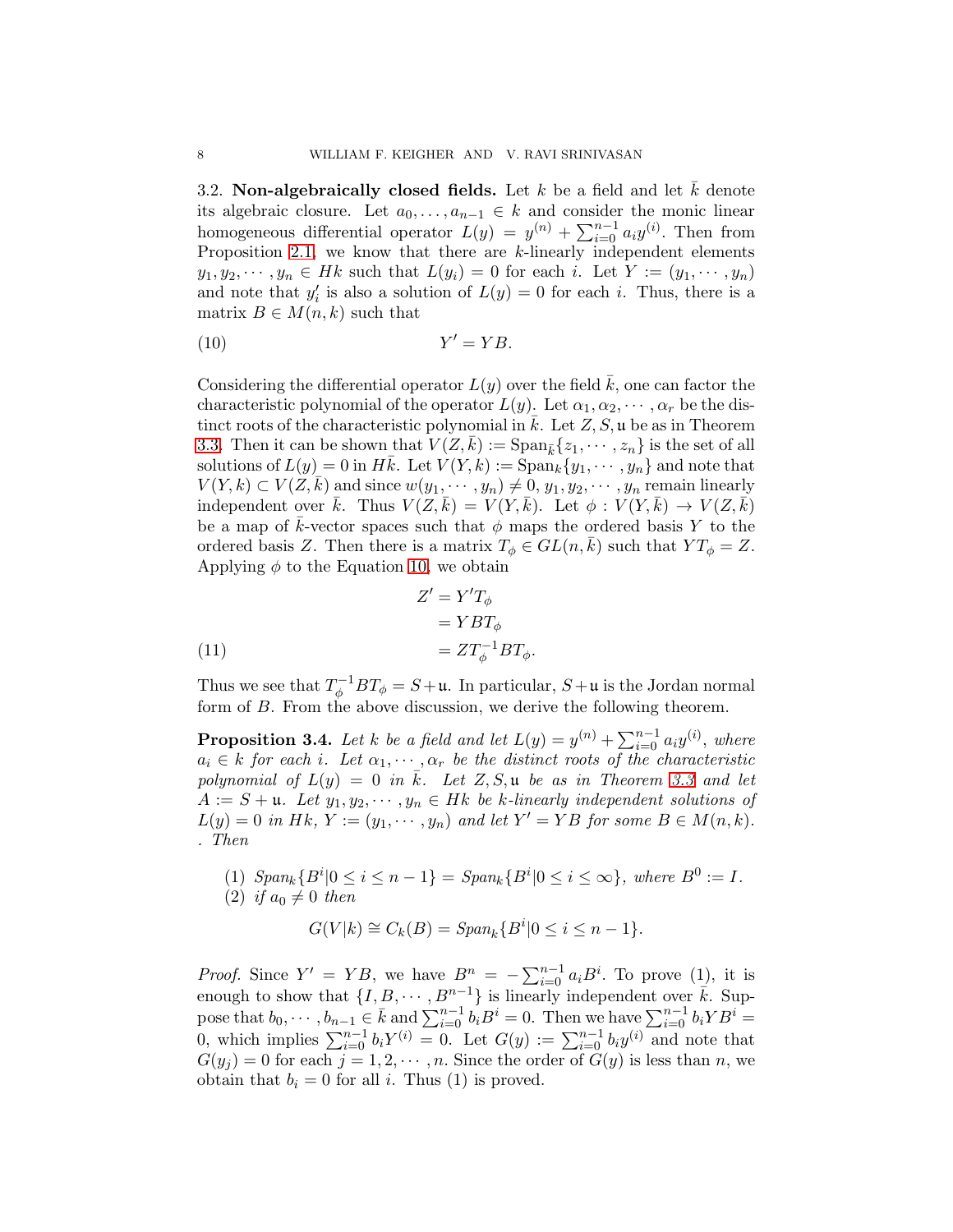3.2. Non-algebraically closed fields. Let  $k$  be a field and let  $k$  denote its algebraic closure. Let  $a_0, \ldots, a_{n-1} \in k$  and consider the monic linear homogeneous differential operator  $L(y) = y^{(n)} + \sum_{i=0}^{n-1} a_i y^{(i)}$ . Then from Proposition [2.1,](#page-1-0) we know that there are  $k$ -linearly independent elements  $y_1, y_2, \dots, y_n \in Hk$  such that  $L(y_i) = 0$  for each i. Let  $Y := (y_1, \dots, y_n)$ and note that  $y_i'$  $i<sub>i</sub>$  is also a solution of  $L(y) = 0$  for each i. Thus, there is a matrix  $B \in M(n,k)$  such that

<span id="page-7-0"></span>
$$
(10) \t\t Y' = YB.
$$

Considering the differential operator  $L(y)$  over the field  $\overline{k}$ , one can factor the characteristic polynomial of the operator  $L(y)$ . Let  $\alpha_1, \alpha_2, \cdots, \alpha_r$  be the distinct roots of the characteristic polynomial in  $k$ . Let  $Z, S, \mathfrak{u}$  be as in Theorem [3.3.](#page-6-1) Then it can be shown that  $V(Z, k) := \text{Span}_{\bar{k}}\{z_1, \dots, z_n\}$  is the set of all solutions of  $L(y) = 0$  in Hk. Let  $V(Y, k) := \text{Span}_k \{y_1, \dots, y_n\}$  and note that  $V(Y, k) \subset V(Z, k)$  and since  $w(y_1, \dots, y_n) \neq 0, y_1, y_2, \dots, y_n$  remain linearly independent over  $\bar{k}$ . Thus  $V(Z,\bar{k}) = V(Y,\bar{k})$ . Let  $\phi: V(Y,\bar{k}) \to V(Z,\bar{k})$ be a map of k-vector spaces such that  $\phi$  maps the ordered basis Y to the ordered basis Z. Then there is a matrix  $T_{\phi} \in GL(n,k)$  such that  $YT_{\phi} = Z$ . Applying  $\phi$  to the Equation [10,](#page-7-0) we obtain

(11)  
\n
$$
Z' = Y'T_{\phi}
$$
\n
$$
= YBT_{\phi}
$$
\n
$$
= ZT_{\phi}^{-1}BT_{\phi}.
$$

Thus we see that  $T_{\phi}^{-1}BT_{\phi} = S + \mathfrak{u}$ . In particular,  $S + \mathfrak{u}$  is the Jordan normal form of B. From the above discussion, we derive the following theorem.

<span id="page-7-1"></span>**Proposition 3.4.** Let k be a field and let  $L(y) = y^{(n)} + \sum_{i=0}^{n-1} a_i y^{(i)}$ , where  $a_i \in k$  for each i. Let  $\alpha_1, \dots, \alpha_r$  be the distinct roots of the characteristic polynomial of  $L(y) = 0$  in  $\overline{k}$ . Let  $Z, S, \mathfrak{u}$  be as in Theorem [3.3](#page-6-1) and let  $A := S + \mathfrak{u}$ . Let  $y_1, y_2, \dots, y_n \in H$ k be k-linearly independent solutions of  $L(y) = 0$  in Hk,  $Y := (y_1, \dots, y_n)$  and let  $Y' = Y'B$  for some  $B \in M(n, k)$ . . Then

(1) 
$$
Span_k \{B^i | 0 \le i \le n-1\} = Span_k \{B^i | 0 \le i \le \infty\}
$$
, where  $B^0 := I$ .  
(2) if  $a_i \ne 0$  then

(2) if 
$$
a_0 \neq 0
$$
 then

$$
G(V|k) \cong C_k(B) = Span_k\{B^i|0 \le i \le n-1\}.
$$

*Proof.* Since  $Y' = YB$ , we have  $B_{\perp}^{n} = -\sum_{i=0}^{n-1} a_{i}B^{i}$ . To prove (1), it is enough to show that  $\{I, B, \cdots, B^{n-1}\}\$ is linearly independent over  $\overline{k}$ . Suppose that  $b_0, \dots, b_{n-1} \in \overline{k}$  and  $\sum_{i=0}^{n-1} b_i B^i = 0$ . Then we have  $\sum_{i=0}^{n-1} b_i Y B^i =$ 0, which implies  $\sum_{i=0}^{n-1} b_i Y^{(i)} = 0$ . Let  $G(y) := \sum_{i=0}^{n-1} b_i y^{(i)}$  and note that  $G(y_i) = 0$  for each  $j = 1, 2, \dots, n$ . Since the order of  $G(y)$  is less than n, we obtain that  $b_i = 0$  for all i. Thus (1) is proved.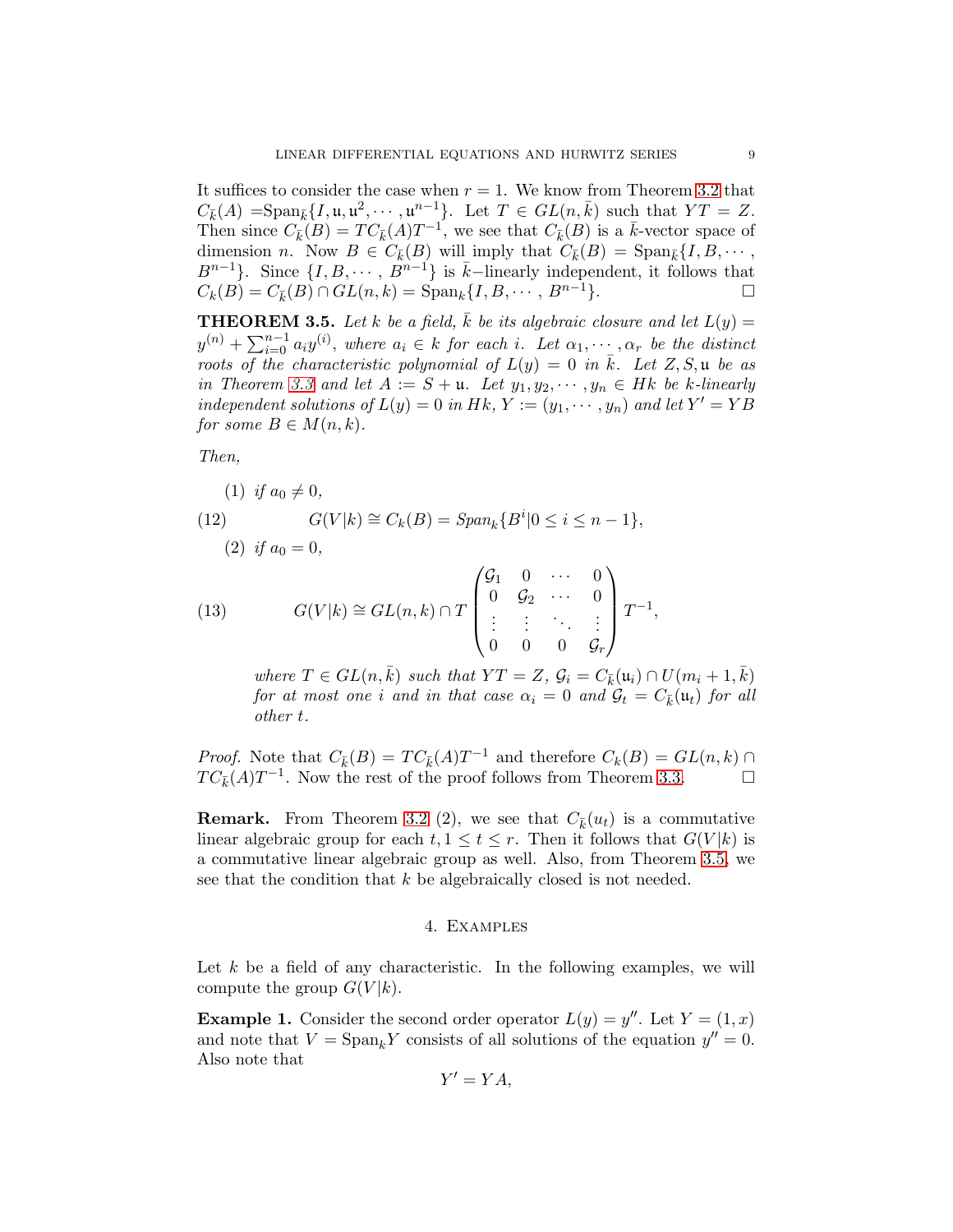It suffices to consider the case when  $r = 1$ . We know from Theorem [3.2](#page-5-0) that  $C_{\bar{k}}(A) = \text{Span}_{\bar{k}}\{I, \mathfrak{u}, \mathfrak{u}^2, \cdots, \mathfrak{u}^{n-1}\}\.$  Let  $T \in GL(n, \bar{k})$  such that  $YT = Z$ . Then since  $C_k(\hat{B}) = TC_{\bar{k}}(A)T^{-1}$ , we see that  $C_{\bar{k}}(B)$  is a  $\bar{k}$ -vector space of dimension n. Now  $B \in C_{\bar{k}}(B)$  will imply that  $C_{\bar{k}}(B) = \text{Span}_{\bar{k}}\{I, B, \cdots, I\}$  $B^{n-1}$ . Since  $\{I, B, \cdots, B^{n-1}\}\$ is  $\overline{k}-$ linearly independent, it follows that  $C_k(B) = C_{\bar{k}}(B) \cap GL(n,k) = \text{Span}_k \{I, B, \cdots, B^{n-1}\}.$ 

<span id="page-8-0"></span>**THEOREM 3.5.** Let k be a field,  $\overline{k}$  be its algebraic closure and let  $L(y) =$  $y^{(n)} + \sum_{i=0}^{n-1} a_i y^{(i)}$ , where  $a_i \in k$  for each i. Let  $\alpha_1, \dots, \alpha_r$  be the distinct roots of the characteristic polynomial of  $L(y) = 0$  in k. Let Z, S, u be as in Theorem [3.3](#page-6-1) and let  $A := S + \mathfrak{u}$ . Let  $y_1, y_2, \dots, y_n \in H$ k be k-linearly independent solutions of  $L(y) = 0$  in Hk,  $Y := (y_1, \dots, y_n)$  and let  $Y' = YB$ for some  $B \in M(n,k)$ .

Then,

(1) if 
$$
a_0 \neq 0
$$
,  
(12)  $G(V|k) \cong C_k(B) = Span_k\{B^i|0 \leq i \leq n-1\}$ ,

<span id="page-8-1"></span>(2) if 
$$
a_0 = 0
$$
,

(13) 
$$
G(V|k) \cong GL(n,k) \cap T \begin{pmatrix} \mathcal{G}_1 & 0 & \cdots & 0 \\ 0 & \mathcal{G}_2 & \cdots & 0 \\ \vdots & \vdots & \ddots & \vdots \\ 0 & 0 & 0 & \mathcal{G}_r \end{pmatrix} T^{-1},
$$

<span id="page-8-2"></span>where  $T \in GL(n,\bar{k})$  such that  $YT = Z$ ,  $\mathcal{G}_i = C_{\bar{k}}(\mathfrak{u}_i) \cap U(m_i + 1, \bar{k})$ for at most one i and in that case  $\alpha_i = 0$  and  $\mathcal{G}_t = C_{\bar{k}}(\mathfrak{u}_t)$  for all other t.

*Proof.* Note that  $C_{\bar{k}}(B) = TC_{\bar{k}}(A)T^{-1}$  and therefore  $C_k(B) = GL(n, k)$  $TC_{\bar{k}}(A)T^{-1}$ . Now the rest of the proof follows from Theorem [3.3.](#page-6-1)

**Remark.** From Theorem [3.2](#page-5-0) (2), we see that  $C_{\bar{k}}(u_t)$  is a commutative linear algebraic group for each  $t, 1 \leq t \leq r$ . Then it follows that  $G(V|k)$  is a commutative linear algebraic group as well. Also, from Theorem [3.5,](#page-8-0) we see that the condition that k be algebraically closed is not needed.

#### 4. Examples

Let  $k$  be a field of any characteristic. In the following examples, we will compute the group  $G(V|k)$ .

**Example 1.** Consider the second order operator  $L(y) = y''$ . Let  $Y = (1, x)$ and note that  $V = \text{Span}_k Y$  consists of all solutions of the equation  $y'' = 0$ . Also note that

$$
Y'=YA,
$$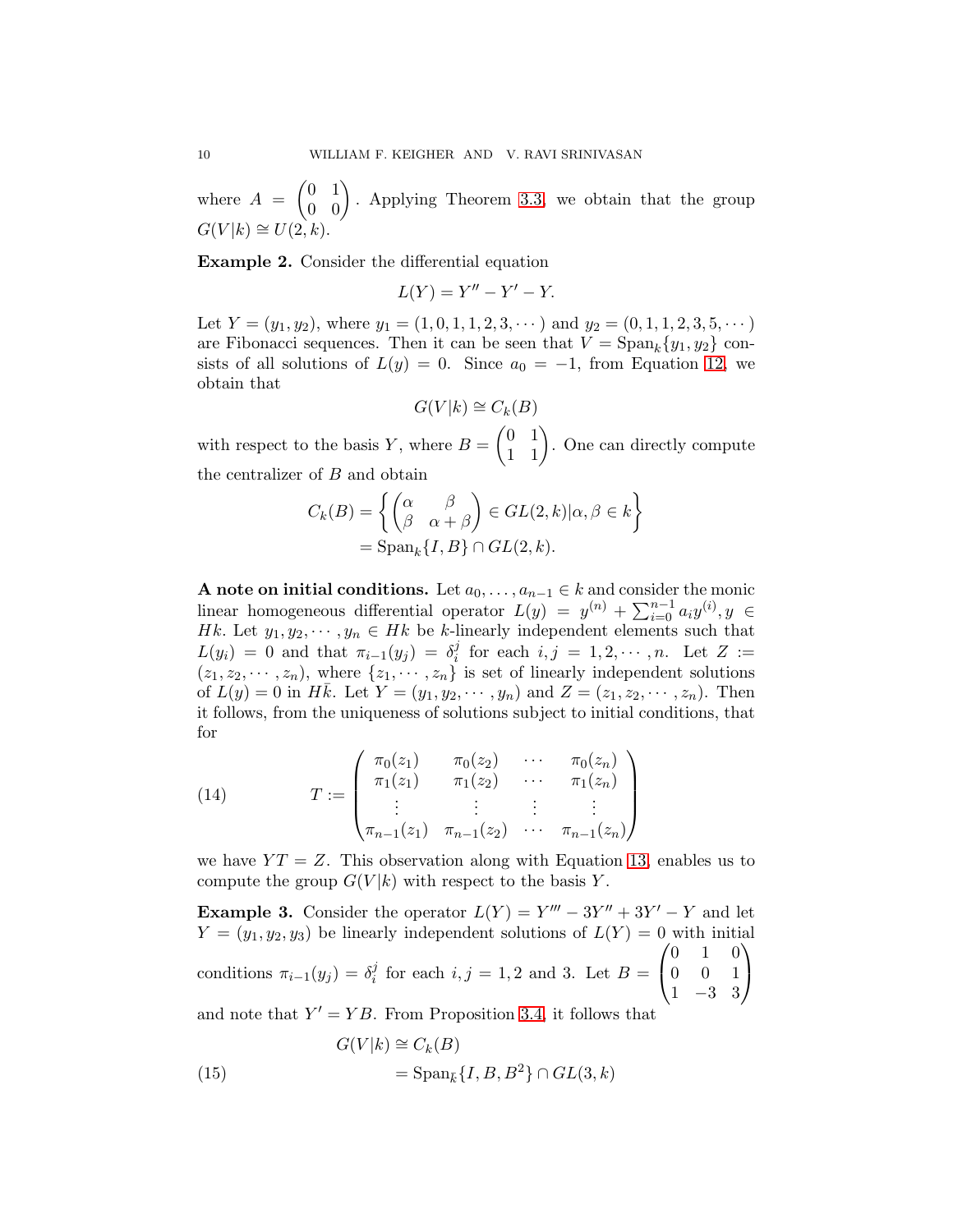where  $A = \begin{pmatrix} 0 & 1 \\ 0 & 0 \end{pmatrix}$ . Applying Theorem [3.3,](#page-6-1) we obtain that the group  $G(V|k) \cong U(2,k).$ 

Example 2. Consider the differential equation

$$
L(Y) = Y'' - Y' - Y.
$$

Let  $Y = (y_1, y_2)$ , where  $y_1 = (1, 0, 1, 1, 2, 3, \dots)$  and  $y_2 = (0, 1, 1, 2, 3, 5, \dots)$ are Fibonacci sequences. Then it can be seen that  $V = \text{Span}_k \{y_1, y_2\}$  consists of all solutions of  $L(y) = 0$ . Since  $a_0 = -1$ , from Equation [12,](#page-8-1) we obtain that

$$
G(V|k) \cong C_k(B)
$$

with respect to the basis Y, where  $B = \begin{pmatrix} 0 & 1 \\ 1 & 1 \end{pmatrix}$ . One can directly compute the centralizer of B and obtain

$$
C_k(B) = \left\{ \begin{pmatrix} \alpha & \beta \\ \beta & \alpha + \beta \end{pmatrix} \in GL(2, k) | \alpha, \beta \in k \right\}
$$

$$
= \text{Span}_k \{ I, B \} \cap GL(2, k).
$$

A note on initial conditions. Let  $a_0, \ldots, a_{n-1} \in k$  and consider the monic linear homogeneous differential operator  $L(y) = y^{(n)} + \sum_{i=0}^{n-1} a_i y^{(i)}$ ,  $y \in$ Hk. Let  $y_1, y_2, \dots, y_n \in H$ k be k-linearly independent elements such that  $L(y_i) = 0$  and that  $\pi_{i-1}(y_j) = \delta_i^j$  $i<sub>i</sub>$  for each  $i, j = 1, 2, \cdots, n$ . Let  $Z :=$  $(z_1, z_2, \dots, z_n)$ , where  $\{z_1, \dots, z_n\}$  is set of linearly independent solutions of  $L(y) = 0$  in Hk. Let  $Y = (y_1, y_2, \dots, y_n)$  and  $Z = (z_1, z_2, \dots, z_n)$ . Then it follows, from the uniqueness of solutions subject to initial conditions, that for

(14) 
$$
T := \begin{pmatrix} \pi_0(z_1) & \pi_0(z_2) & \cdots & \pi_0(z_n) \\ \pi_1(z_1) & \pi_1(z_2) & \cdots & \pi_1(z_n) \\ \vdots & \vdots & \vdots & \vdots \\ \pi_{n-1}(z_1) & \pi_{n-1}(z_2) & \cdots & \pi_{n-1}(z_n) \end{pmatrix}
$$

we have  $YT = Z$ . This observation along with Equation [13,](#page-8-2) enables us to compute the group  $G(V|k)$  with respect to the basis Y.

**Example 3.** Consider the operator  $L(Y) = Y''' - 3Y'' + 3Y' - Y$  and let  $Y = (y_1, y_2, y_3)$  be linearly independent solutions of  $L(Y) = 0$  with initial conditions  $\pi_{i-1}(y_j) = \delta_i^j$  $i<sub>i</sub>$  for each  $i, j = 1, 2$  and 3. Let  $B =$  $\sqrt{ }$  $\overline{1}$ 0 1 0 0 0 1 1 −3 3  $\setminus$  $\overline{1}$ and note that  $Y' = YB$ . From Proposition [3.4,](#page-7-1) it follows that

(15) 
$$
G(V|k) \cong C_k(B)
$$

$$
= \text{Span}_{\bar{k}} \{I, B, B^2\} \cap GL(3, k)
$$